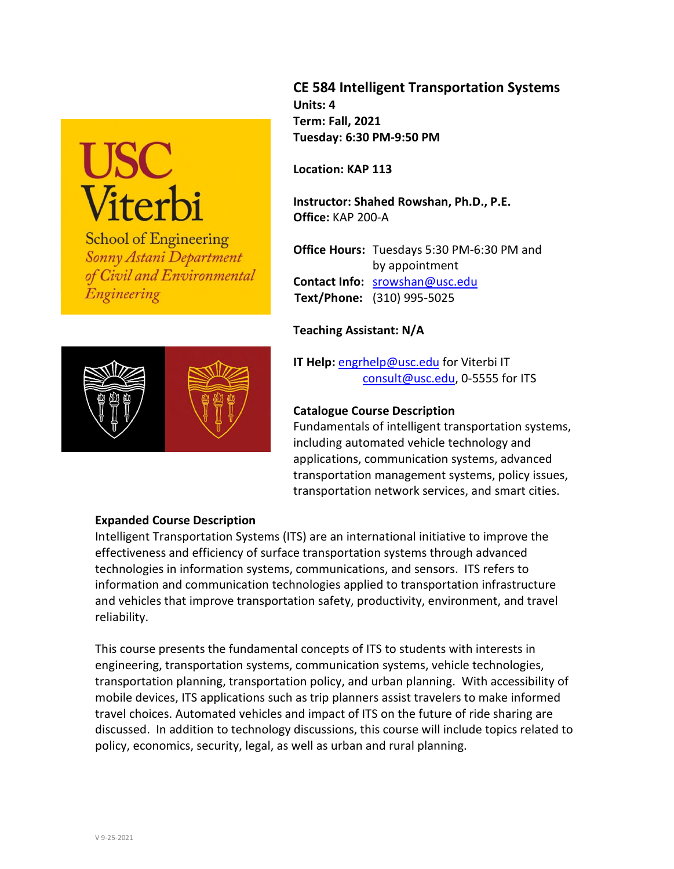# USC<br>Viterbi

**School of Engineering** Sonny Astani Department of Civil and Environmental Engineering



# **CE 584 Intelligent Transportation Systems Units: 4 Term: Fall, 2021 Tuesday: 6:30 PM-9:50 PM**

**Location: KAP 113** 

**Instructor: Shahed Rowshan, Ph.D., P.E. Office:** KAP 200-A

**Office Hours:** Tuesdays 5:30 PM-6:30 PM and by appointment **Contact Info:** [srowshan@usc.edu](mailto:srowshan@usc.edu)  **Text/Phone:** (310) 995-5025

# **Teaching Assistant: N/A**

**IT Help:** [engrhelp@usc.edu](mailto:engrhelp@usc.edu) for Viterbi IT [consult@usc.edu,](file:///C:\Users\jmoore\AppData\Local\Microsoft\Windows\Temporary%20Internet%20Files\Content.Outlook\MC5055XP\consult@usc.edu) 0-5555 for ITS

# **Catalogue Course Description**

Fundamentals of intelligent transportation systems, including automated vehicle technology and applications, communication systems, advanced transportation management systems, policy issues, transportation network services, and smart cities.

## **Expanded Course Description**

Intelligent Transportation Systems (ITS) are an international initiative to improve the effectiveness and efficiency of surface transportation systems through advanced technologies in information systems, communications, and sensors. ITS refers to [information and communication technologies](http://en.wikipedia.org/wiki/Information_and_communication_technology) applied to transportatio[n infrastructure](http://en.wikipedia.org/wiki/Infrastructure) and [vehicles](http://en.wikipedia.org/wiki/Vehicle) that improve transportation safety, productivity, environment, and travel reliability.

This course presents the fundamental concepts of ITS to students with interests in engineering, transportation systems, communication systems, vehicle technologies, transportation planning, transportation policy, and urban planning. With accessibility of mobile devices, ITS applications such as trip planners assist travelers to make informed travel choices. Automated vehicles and impact of ITS on the future of ride sharing are discussed. In addition to technology discussions, this course will include topics related to policy, economics, security, legal, as well as urban and rural planning.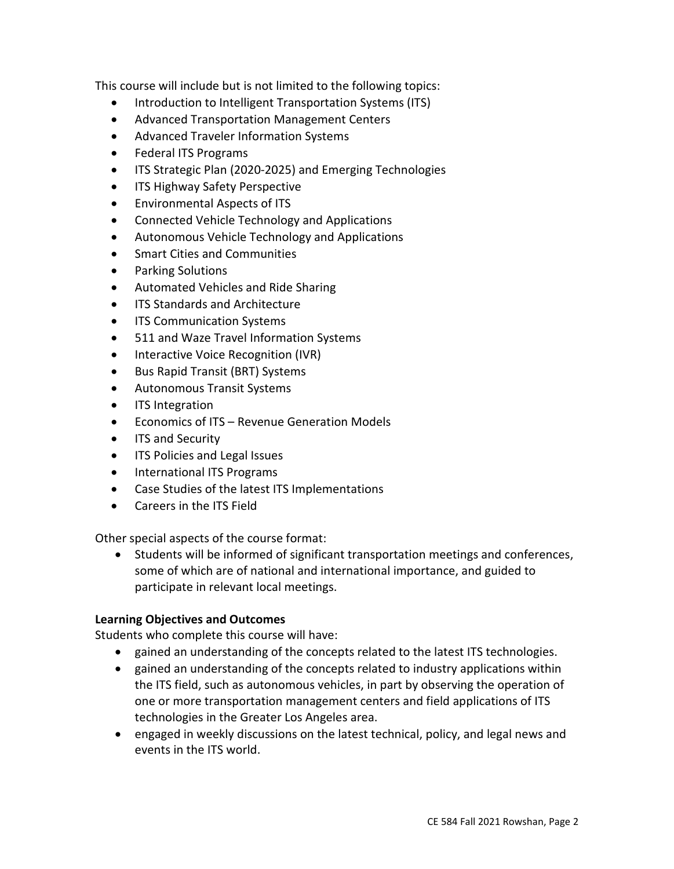This course will include but is not limited to the following topics:

- Introduction to Intelligent Transportation Systems (ITS)
- Advanced Transportation Management Centers
- Advanced Traveler Information Systems
- Federal ITS Programs
- ITS Strategic Plan (2020-2025) and Emerging Technologies
- ITS Highway Safety Perspective
- Environmental Aspects of ITS
- Connected Vehicle Technology and Applications
- Autonomous Vehicle Technology and Applications
- Smart Cities and Communities
- Parking Solutions
- Automated Vehicles and Ride Sharing
- ITS Standards and Architecture
- ITS Communication Systems
- 511 and Waze Travel Information Systems
- Interactive Voice Recognition (IVR)
- Bus Rapid Transit (BRT) Systems
- Autonomous Transit Systems
- ITS Integration
- Economics of ITS Revenue Generation Models
- ITS and Security
- ITS Policies and Legal Issues
- International ITS Programs
- Case Studies of the latest ITS Implementations
- Careers in the ITS Field

Other special aspects of the course format:

 Students will be informed of significant transportation meetings and conferences, some of which are of national and international importance, and guided to participate in relevant local meetings.

## **Learning Objectives and Outcomes**

Students who complete this course will have:

- gained an understanding of the concepts related to the latest ITS technologies.
- gained an understanding of the concepts related to industry applications within the ITS field, such as autonomous vehicles, in part by observing the operation of one or more transportation management centers and field applications of ITS technologies in the Greater Los Angeles area.
- engaged in weekly discussions on the latest technical, policy, and legal news and events in the ITS world.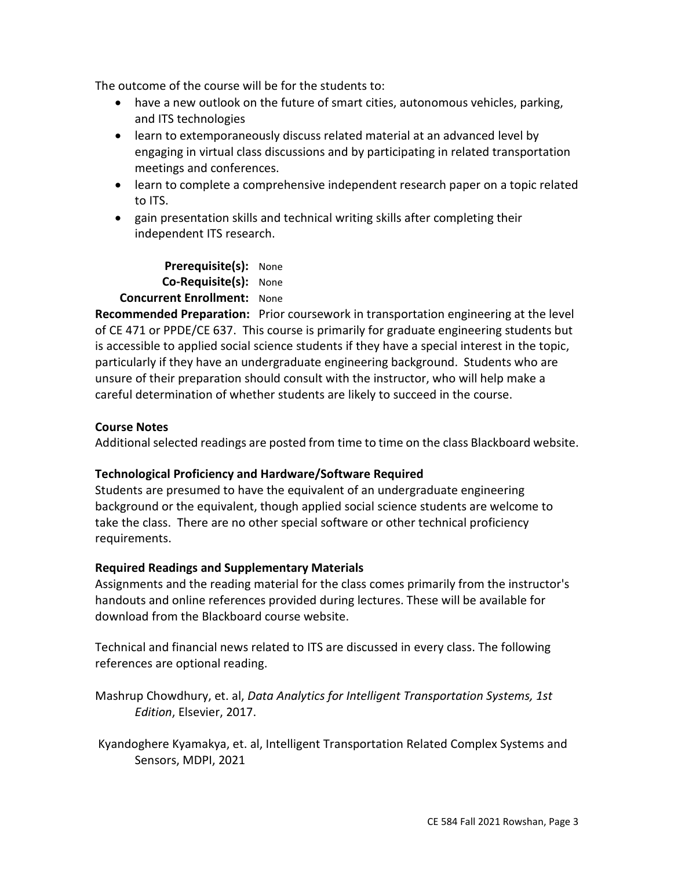The outcome of the course will be for the students to:

- have a new outlook on the future of smart cities, autonomous vehicles, parking, and ITS technologies
- learn to extemporaneously discuss related material at an advanced level by engaging in virtual class discussions and by participating in related transportation meetings and conferences.
- learn to complete a comprehensive independent research paper on a topic related to ITS.
- gain presentation skills and technical writing skills after completing their independent ITS research.

**Prerequisite(s):** None **Co-Requisite(s):** None  **Concurrent Enrollment:** None

**Recommended Preparation:** Prior coursework in transportation engineering at the level of CE 471 or PPDE/CE 637. This course is primarily for graduate engineering students but is accessible to applied social science students if they have a special interest in the topic, particularly if they have an undergraduate engineering background. Students who are unsure of their preparation should consult with the instructor, who will help make a careful determination of whether students are likely to succeed in the course.

## **Course Notes**

Additional selected readings are posted from time to time on the class Blackboard website.

# **Technological Proficiency and Hardware/Software Required**

Students are presumed to have the equivalent of an undergraduate engineering background or the equivalent, though applied social science students are welcome to take the class. There are no other special software or other technical proficiency requirements.

# **Required Readings and Supplementary Materials**

Assignments and the reading material for the class comes primarily from the instructor's handouts and online references provided during lectures. These will be available for download from the Blackboard course website.

Technical and financial news related to ITS are discussed in every class. The following references are optional reading.

Mashrup Chowdhury, et. al, *Data Analytics for Intelligent Transportation Systems, 1st Edition*, Elsevier, 2017.

[Kyandoghere Kyamakya,](https://www.amazon.com/s/ref=dp_byline_sr_book_1?ie=UTF8&field-author=Kyandoghere+Kyamakya&text=Kyandoghere+Kyamakya&sort=relevancerank&search-alias=books) et. al, Intelligent Transportation Related Complex Systems and Sensors, MDPI, 2021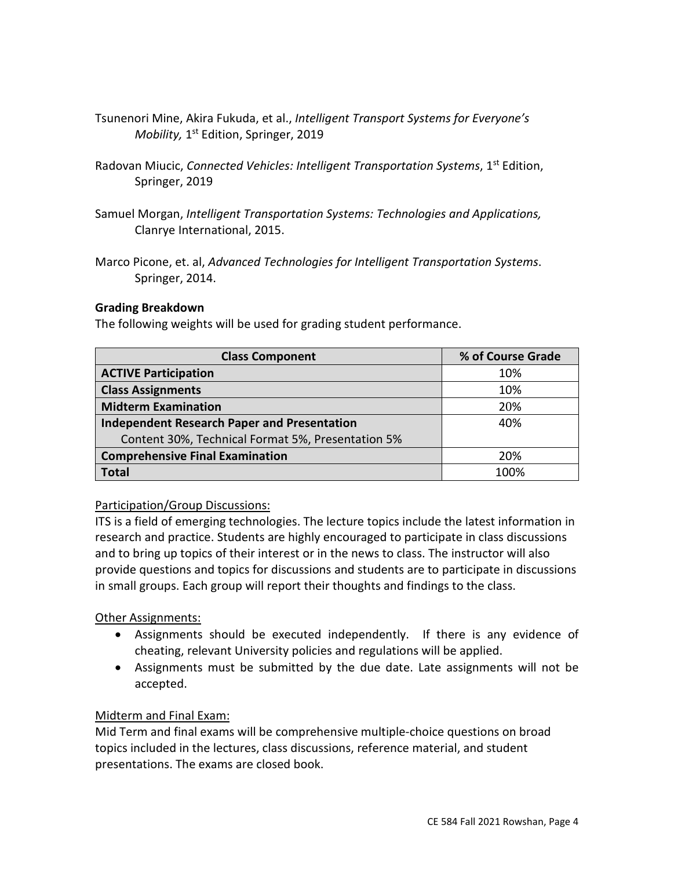- Tsunenori Mine, Akira Fukuda, et al., *[Intelligent Transport Systems for Everyone's](https://www.amazon.com/Intelligent-Transport-Systems-Everyones-Mobility/dp/9811374368/ref=sr_1_9?crid=203Y277SKX3I0&dchild=1&keywords=intelligent+transportation+systems&qid=1598138866&s=books&sprefix=intelligent+transportation+%2Caps%2C331&sr=1-9)  [Mobility,](https://www.amazon.com/Intelligent-Transport-Systems-Everyones-Mobility/dp/9811374368/ref=sr_1_9?crid=203Y277SKX3I0&dchild=1&keywords=intelligent+transportation+systems&qid=1598138866&s=books&sprefix=intelligent+transportation+%2Caps%2C331&sr=1-9)* 1<sup>st</sup> Edition, Springer, 2019
- [Radovan Miucic,](https://www.amazon.com/s/ref=dp_byline_sr_book_1?ie=UTF8&field-author=Radovan+Miucic&text=Radovan+Miucic&sort=relevancerank&search-alias=books) *Connected Vehicles: Intelligent Transportation Systems*, 1<sup>st</sup> Edition, Springer, 2019
- Samuel Morgan, *Intelligent Transportation Systems: Technologies and Applications,*  Clanrye International, 2015.
- Marco Picone, et. al, *Advanced Technologies for Intelligent Transportation Systems*. Springer, 2014.

### **Grading Breakdown**

The following weights will be used for grading student performance.

| <b>Class Component</b>                             | % of Course Grade |
|----------------------------------------------------|-------------------|
| <b>ACTIVE Participation</b>                        | 10%               |
| <b>Class Assignments</b>                           | 10%               |
| <b>Midterm Examination</b>                         | <b>20%</b>        |
| <b>Independent Research Paper and Presentation</b> | 40%               |
| Content 30%, Technical Format 5%, Presentation 5%  |                   |
| <b>Comprehensive Final Examination</b>             | 20%               |
| <b>Total</b>                                       | 1በበ%              |

#### Participation/Group Discussions:

ITS is a field of emerging technologies. The lecture topics include the latest information in research and practice. Students are highly encouraged to participate in class discussions and to bring up topics of their interest or in the news to class. The instructor will also provide questions and topics for discussions and students are to participate in discussions in small groups. Each group will report their thoughts and findings to the class.

## **Other Assignments:**

- Assignments should be executed independently. If there is any evidence of cheating, relevant University policies and regulations will be applied.
- Assignments must be submitted by the due date. Late assignments will not be accepted.

## Midterm and Final Exam:

Mid Term and final exams will be comprehensive multiple-choice questions on broad topics included in the lectures, class discussions, reference material, and student presentations. The exams are closed book.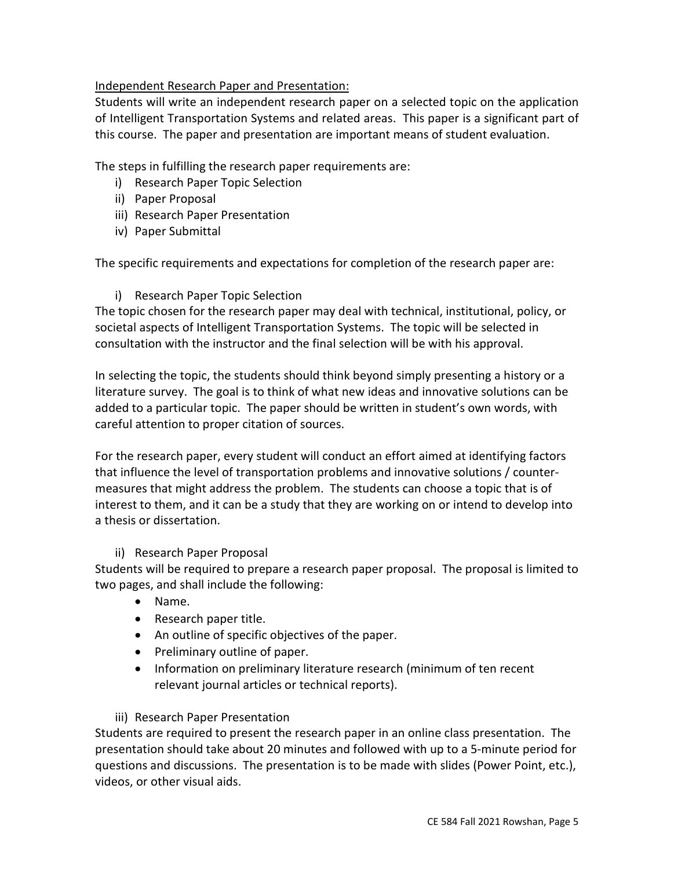## Independent Research Paper and Presentation:

Students will write an independent research paper on a selected topic on the application of Intelligent Transportation Systems and related areas. This paper is a significant part of this course. The paper and presentation are important means of student evaluation.

The steps in fulfilling the research paper requirements are:

- i) Research Paper Topic Selection
- ii) Paper Proposal
- iii) Research Paper Presentation
- iv) Paper Submittal

The specific requirements and expectations for completion of the research paper are:

### i) Research Paper Topic Selection

The topic chosen for the research paper may deal with technical, institutional, policy, or societal aspects of Intelligent Transportation Systems. The topic will be selected in consultation with the instructor and the final selection will be with his approval.

In selecting the topic, the students should think beyond simply presenting a history or a literature survey. The goal is to think of what new ideas and innovative solutions can be added to a particular topic. The paper should be written in student's own words, with careful attention to proper citation of sources.

For the research paper, every student will conduct an effort aimed at identifying factors that influence the level of transportation problems and innovative solutions / countermeasures that might address the problem. The students can choose a topic that is of interest to them, and it can be a study that they are working on or intend to develop into a thesis or dissertation.

## ii) Research Paper Proposal

Students will be required to prepare a research paper proposal. The proposal is limited to two pages, and shall include the following:

- Name.
- Research paper title.
- An outline of specific objectives of the paper.
- Preliminary outline of paper.
- Information on preliminary literature research (minimum of ten recent relevant journal articles or technical reports).

## iii) Research Paper Presentation

Students are required to present the research paper in an online class presentation. The presentation should take about 20 minutes and followed with up to a 5-minute period for questions and discussions. The presentation is to be made with slides (Power Point, etc.), videos, or other visual aids.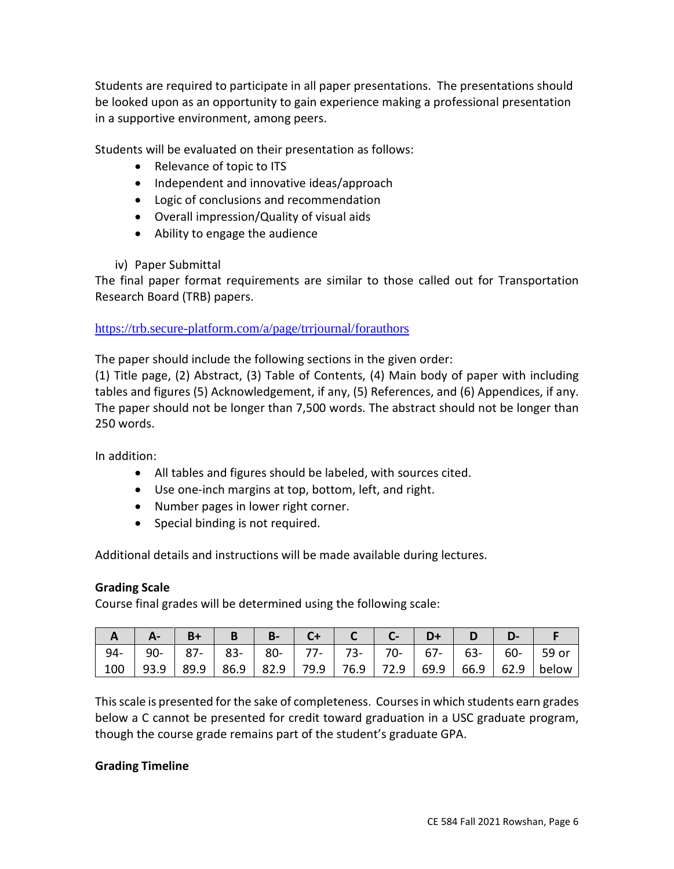Students are required to participate in all paper presentations. The presentations should be looked upon as an opportunity to gain experience making a professional presentation in a supportive environment, among peers.

Students will be evaluated on their presentation as follows:

- Relevance of topic to ITS
- Independent and innovative ideas/approach
- Logic of conclusions and recommendation
- Overall impression/Quality of visual aids
- Ability to engage the audience
- iv) Paper Submittal

The final paper format requirements are similar to those called out for Transportation Research Board (TRB) papers.

## <https://trb.secure-platform.com/a/page/trrjournal/forauthors>

The paper should include the following sections in the given order:

(1) Title page, (2) Abstract, (3) Table of Contents, (4) Main body of paper with including tables and figures (5) Acknowledgement, if any, (5) References, and (6) Appendices, if any. The paper should not be longer than 7,500 words. The abstract should not be longer than 250 words.

In addition:

- All tables and figures should be labeled, with sources cited.
- Use one-inch margins at top, bottom, left, and right.
- Number pages in lower right corner.
- Special binding is not required.

Additional details and instructions will be made available during lectures.

#### **Grading Scale**

Course final grades will be determined using the following scale:

| $A \mid A -  B +  B  \mid B -  C +  C  \mid C -  D +  D  \mid D -$ |  |  |  |  |                                                                                   |
|--------------------------------------------------------------------|--|--|--|--|-----------------------------------------------------------------------------------|
|                                                                    |  |  |  |  | 94-   90-   87-   83-   80-   77-   73-   70-   67-   63-   60-   59 or           |
|                                                                    |  |  |  |  | 100   93.9   89.9   86.9   82.9   79.9   76.9   72.9   69.9   66.9   62.9   below |

This scale is presented for the sake of completeness. Courses in which students earn grades below a C cannot be presented for credit toward graduation in a USC graduate program, though the course grade remains part of the student's graduate GPA.

#### **Grading Timeline**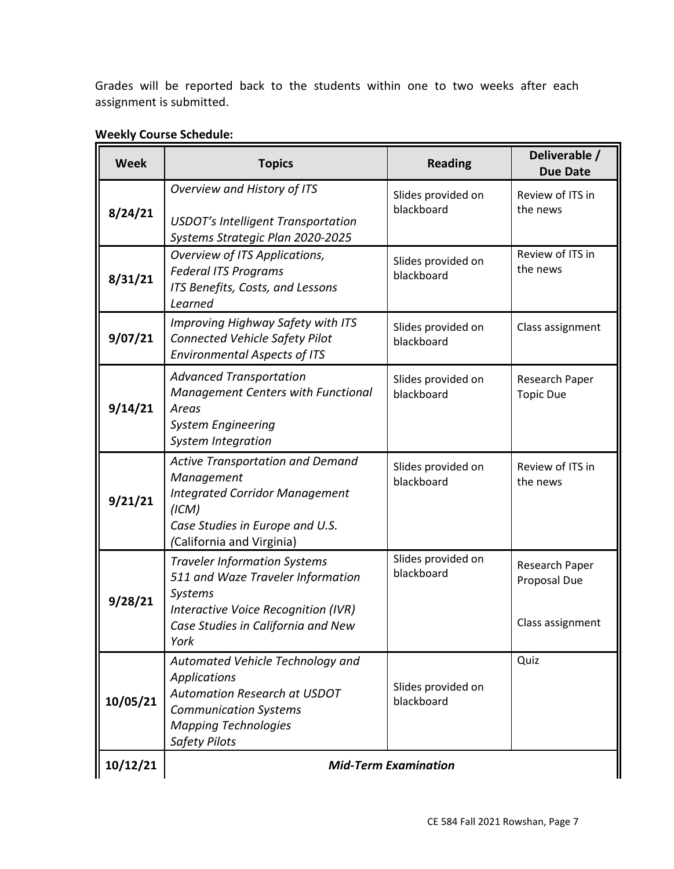Grades will be reported back to the students within one to two weeks after each assignment is submitted.

| <b>Week</b> | <b>Topics</b>                                                                                                                                                                         | <b>Reading</b>                   | Deliverable /<br><b>Due Date</b>                   |  |  |  |
|-------------|---------------------------------------------------------------------------------------------------------------------------------------------------------------------------------------|----------------------------------|----------------------------------------------------|--|--|--|
| 8/24/21     | Overview and History of ITS<br><b>USDOT's Intelligent Transportation</b><br>Systems Strategic Plan 2020-2025                                                                          | Slides provided on<br>blackboard | Review of ITS in<br>the news                       |  |  |  |
| 8/31/21     | Overview of ITS Applications,<br><b>Federal ITS Programs</b><br>ITS Benefits, Costs, and Lessons<br>Learned                                                                           | Slides provided on<br>blackboard | Review of ITS in<br>the news                       |  |  |  |
| 9/07/21     | Improving Highway Safety with ITS<br><b>Connected Vehicle Safety Pilot</b><br><b>Environmental Aspects of ITS</b>                                                                     | Slides provided on<br>blackboard | Class assignment                                   |  |  |  |
| 9/14/21     | <b>Advanced Transportation</b><br><b>Management Centers with Functional</b><br>Areas<br><b>System Engineering</b><br><b>System Integration</b>                                        | Slides provided on<br>blackboard | Research Paper<br><b>Topic Due</b>                 |  |  |  |
| 9/21/21     | <b>Active Transportation and Demand</b><br>Management<br><b>Integrated Corridor Management</b><br>(ICM)<br>Case Studies in Europe and U.S.<br>(California and Virginia)               | Slides provided on<br>blackboard | Review of ITS in<br>the news                       |  |  |  |
| 9/28/21     | <b>Traveler Information Systems</b><br>511 and Waze Traveler Information<br>Systems<br>Interactive Voice Recognition (IVR)<br>Case Studies in California and New<br>York              | Slides provided on<br>blackboard | Research Paper<br>Proposal Due<br>Class assignment |  |  |  |
| 10/05/21    | Automated Vehicle Technology and<br><b>Applications</b><br><b>Automation Research at USDOT</b><br><b>Communication Systems</b><br><b>Mapping Technologies</b><br><b>Safety Pilots</b> | Slides provided on<br>blackboard | Quiz                                               |  |  |  |
| 10/12/21    | <b>Mid-Term Examination</b>                                                                                                                                                           |                                  |                                                    |  |  |  |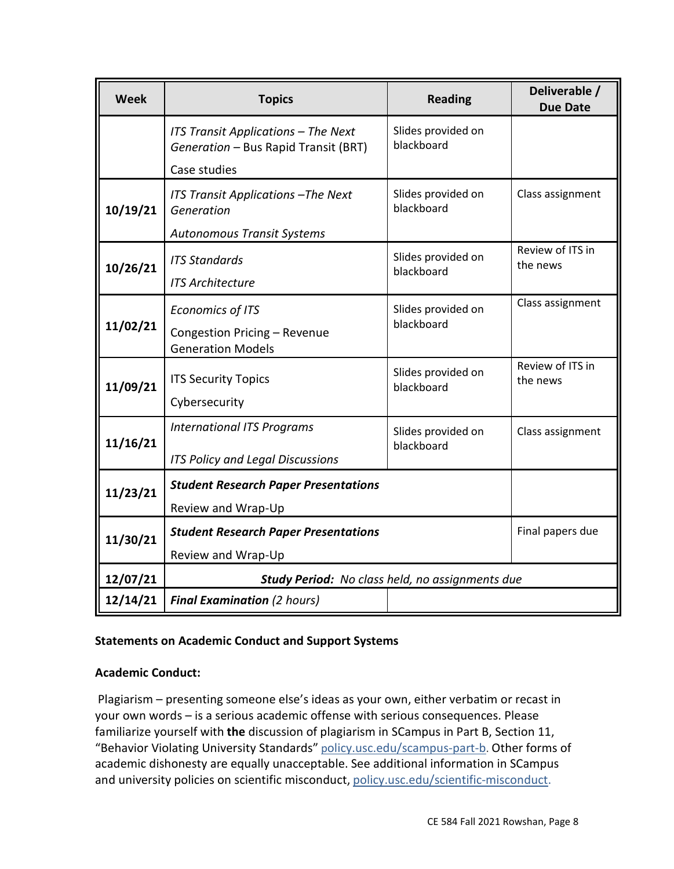| <b>Week</b> | <b>Topics</b>                                                                               | <b>Reading</b>                   | Deliverable /<br><b>Due Date</b> |  |  |
|-------------|---------------------------------------------------------------------------------------------|----------------------------------|----------------------------------|--|--|
|             | ITS Transit Applications - The Next<br>Generation - Bus Rapid Transit (BRT)<br>Case studies | Slides provided on<br>blackboard |                                  |  |  |
| 10/19/21    | ITS Transit Applications - The Next<br>Generation<br><b>Autonomous Transit Systems</b>      | Slides provided on<br>blackboard | Class assignment                 |  |  |
| 10/26/21    | <b>ITS Standards</b><br><b>ITS Architecture</b>                                             | Slides provided on<br>blackboard | Review of ITS in<br>the news     |  |  |
| 11/02/21    | <b>Economics of ITS</b><br>Congestion Pricing - Revenue<br><b>Generation Models</b>         | Slides provided on<br>blackboard | Class assignment                 |  |  |
| 11/09/21    | <b>ITS Security Topics</b><br>Cybersecurity                                                 | Slides provided on<br>blackboard | Review of ITS in<br>the news     |  |  |
| 11/16/21    | <b>International ITS Programs</b><br>ITS Policy and Legal Discussions                       | Slides provided on<br>blackboard | Class assignment                 |  |  |
| 11/23/21    | <b>Student Research Paper Presentations</b><br>Review and Wrap-Up                           |                                  |                                  |  |  |
| 11/30/21    | <b>Student Research Paper Presentations</b><br>Review and Wrap-Up                           | Final papers due                 |                                  |  |  |
| 12/07/21    | Study Period: No class held, no assignments due                                             |                                  |                                  |  |  |
| 12/14/21    | <b>Final Examination (2 hours)</b>                                                          |                                  |                                  |  |  |

## **Statements on Academic Conduct and Support Systems**

#### **Academic Conduct:**

Plagiarism – presenting someone else's ideas as your own, either verbatim or recast in your own words – is a serious academic offense with serious consequences. Please familiarize yourself with **the** discussion of plagiarism in SCampus in Part B, Section 11, "Behavior Violating University Standards" p[olicy.usc.edu/scampus-part-b](https://policy.usc.edu/scampus-part-b/). Other forms of academic dishonesty are equally unacceptable. See additional information in SCampus and university policies on scientific misconduct, [policy.usc.edu/scientific-misconduct.](http://policy.usc.edu/scientific-misconduct)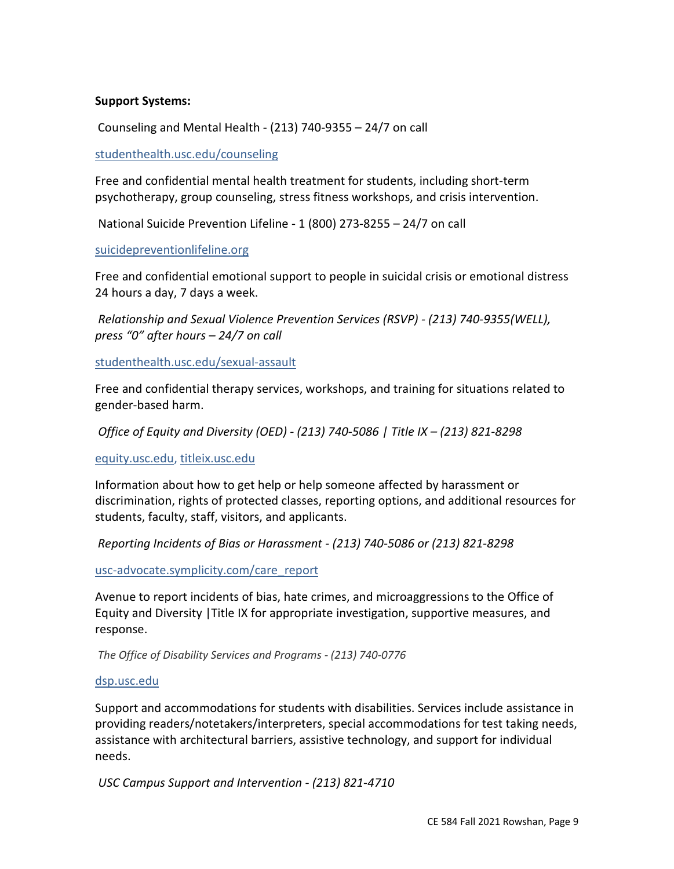#### **Support Systems:**

Counseling and Mental Health - (213) 740-9355 – 24/7 on call

#### [studenthealth.usc.edu/counseling](https://studenthealth.usc.edu/counseling/)

Free and confidential mental health treatment for students, including short-term psychotherapy, group counseling, stress fitness workshops, and crisis intervention.

National Suicide Prevention Lifeline - 1 (800) 273-8255 – 24/7 on call

#### [suicidepreventionlifeline.org](http://www.suicidepreventionlifeline.org/)

Free and confidential emotional support to people in suicidal crisis or emotional distress 24 hours a day, 7 days a week.

*Relationship and Sexual Violence Prevention Services (RSVP) - (213) 740-9355(WELL), press "0" after hours – 24/7 on call* 

[studenthealth.usc.edu/sexual-assault](https://studenthealth.usc.edu/sexual-assault/)

Free and confidential therapy services, workshops, and training for situations related to gender-based harm.

 *Office of Equity and Diversity (OED) - (213) 740-5086 | Title IX – (213) 821-8298* 

[equity.usc.edu,](https://equity.usc.edu/) [titleix.usc.edu](http://titleix.usc.edu/)

Information about how to get help or help someone affected by harassment or discrimination, rights of protected classes, reporting options, and additional resources for students, faculty, staff, visitors, and applicants.

*Reporting Incidents of Bias or Harassment - (213) 740-5086 or (213) 821-8298* 

[usc-advocate.symplicity.com/care\\_report](https://usc-advocate.symplicity.com/care_report/)

Avenue to report incidents of bias, hate crimes, and microaggressions to the Office of Equity and Diversity |Title IX for appropriate investigation, supportive measures, and response.

*The Office of Disability Services and Programs - (213) 740-0776*

#### [dsp.usc.edu](http://dsp.usc.edu/)

Support and accommodations for students with disabilities. Services include assistance in providing readers/notetakers/interpreters, special accommodations for test taking needs, assistance with architectural barriers, assistive technology, and support for individual needs.

 *USC Campus Support and Intervention - (213) 821-4710*